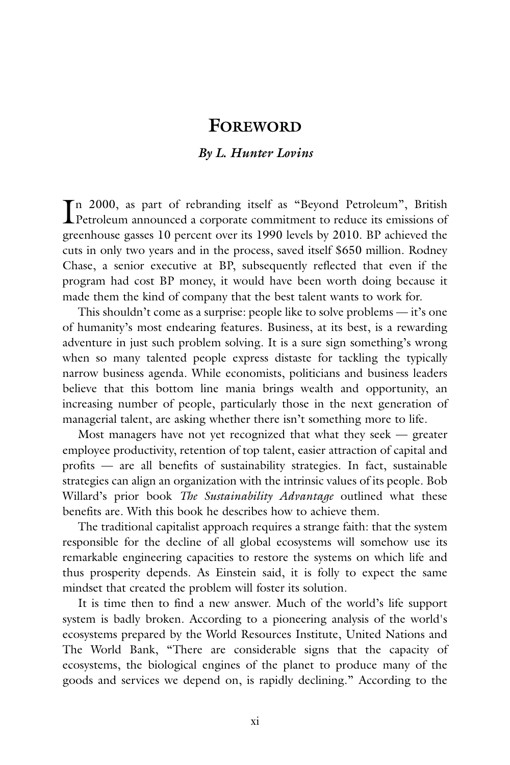## **FOREWORD**

## *By L. Hunter Lovins*

In 2000, as part of rebranding itself as "Beyond Petroleum", British<br>Petroleum announced a corporate commitment to reduce its emissions of n 2000, as part of rebranding itself as "Beyond Petroleum", British greenhouse gasses 10 percent over its 1990 levels by 2010. BP achieved the cuts in only two years and in the process, saved itself \$650 million. Rodney Chase, a senior executive at BP, subsequently reflected that even if the program had cost BP money, it would have been worth doing because it made them the kind of company that the best talent wants to work for.

This shouldn't come as a surprise: people like to solve problems — it's one of humanity's most endearing features. Business, at its best, is a rewarding adventure in just such problem solving. It is a sure sign something's wrong when so many talented people express distaste for tackling the typically narrow business agenda. While economists, politicians and business leaders believe that this bottom line mania brings wealth and opportunity, an increasing number of people, particularly those in the next generation of managerial talent, are asking whether there isn't something more to life.

Most managers have not yet recognized that what they seek — greater employee productivity, retention of top talent, easier attraction of capital and profits — are all benefits of sustainability strategies. In fact, sustainable strategies can align an organization with the intrinsic values of its people. Bob Willard's prior book *The Sustainability Advantage* outlined what these benefits are. With this book he describes how to achieve them.

The traditional capitalist approach requires a strange faith: that the system responsible for the decline of all global ecosystems will somehow use its remarkable engineering capacities to restore the systems on which life and thus prosperity depends. As Einstein said, it is folly to expect the same mindset that created the problem will foster its solution.

It is time then to find a new answer. Much of the world's life support system is badly broken. According to a pioneering analysis of the world's ecosystems prepared by the World Resources Institute, United Nations and The World Bank, "There are considerable signs that the capacity of ecosystems, the biological engines of the planet to produce many of the goods and services we depend on, is rapidly declining." According to the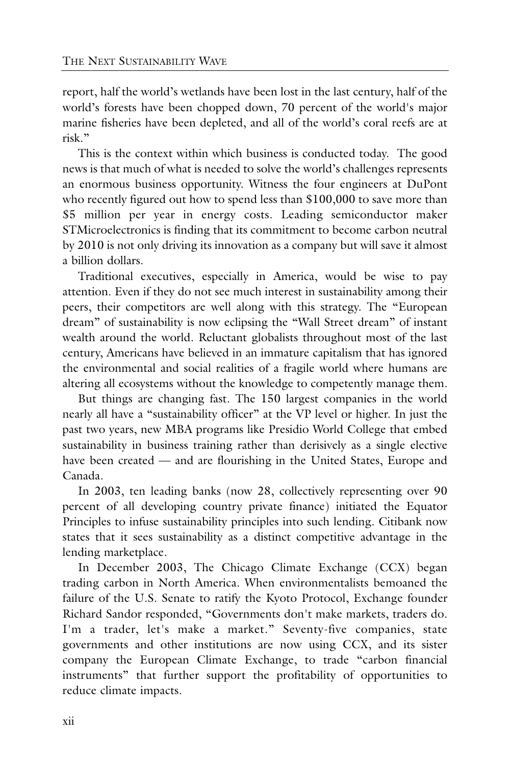report, half the world's wetlands have been lost in the last century, half of the world's forests have been chopped down, 70 percent of the world's major marine fisheries have been depleted, and all of the world's coral reefs are at risk."

This is the context within which business is conducted today. The good news is that much of what is needed to solve the world's challenges represents an enormous business opportunity. Witness the four engineers at DuPont who recently figured out how to spend less than \$100,000 to save more than \$5 million per year in energy costs. Leading semiconductor maker STMicroelectronics is finding that its commitment to become carbon neutral by 2010 is not only driving its innovation as a company but will save it almost a billion dollars.

Traditional executives, especially in America, would be wise to pay attention. Even if they do not see much interest in sustainability among their peers, their competitors are well along with this strategy. The "European dream" of sustainability is now eclipsing the "Wall Street dream" of instant wealth around the world. Reluctant globalists throughout most of the last century, Americans have believed in an immature capitalism that has ignored the environmental and social realities of a fragile world where humans are altering all ecosystems without the knowledge to competently manage them.

But things are changing fast. The 150 largest companies in the world nearly all have a "sustainability officer" at the VP level or higher. In just the past two years, new MBA programs like Presidio World College that embed sustainability in business training rather than derisively as a single elective have been created — and are flourishing in the United States, Europe and Canada.

In 2003, ten leading banks (now 28, collectively representing over 90 percent of all developing country private finance) initiated the Equator Principles to infuse sustainability principles into such lending. Citibank now states that it sees sustainability as a distinct competitive advantage in the lending marketplace.

In December 2003, The Chicago Climate Exchange (CCX) began trading carbon in North America. When environmentalists bemoaned the failure of the U.S. Senate to ratify the Kyoto Protocol, Exchange founder Richard Sandor responded, "Governments don't make markets, traders do. I'm a trader, let's make a market." Seventy-five companies, state governments and other institutions are now using CCX, and its sister company the European Climate Exchange, to trade "carbon financial instruments" that further support the profitability of opportunities to reduce climate impacts.